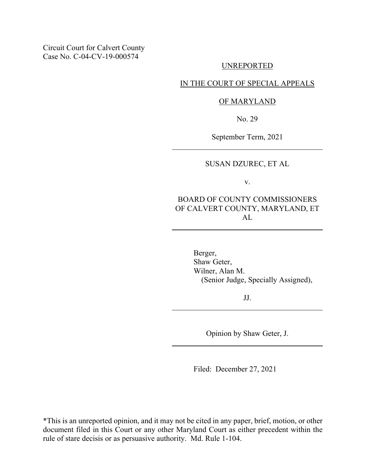### UNREPORTED

### IN THE COURT OF SPECIAL APPEALS

### OF MARYLAND

No. 29

September Term, 2021

# SUSAN DZUREC, ET AL

v.

BOARD OF COUNTY COMMISSIONERS OF CALVERT COUNTY, MARYLAND, ET AL

> Berger, Shaw Geter, Wilner, Alan M. (Senior Judge, Specially Assigned),

> > JJ.

Opinion by Shaw Geter, J.

Filed: December 27, 2021

\*This is an unreported opinion, and it may not be cited in any paper, brief, motion, or other document filed in this Court or any other Maryland Court as either precedent within the rule of stare decisis or as persuasive authority. Md. Rule 1-104.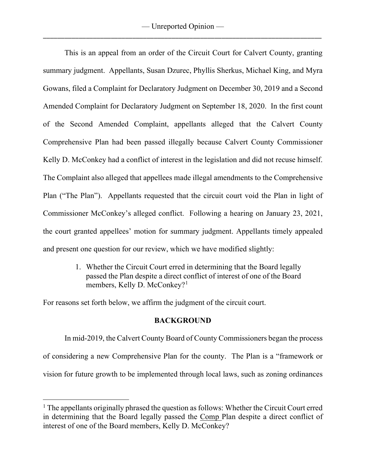This is an appeal from an order of the Circuit Court for Calvert County, granting summary judgment. Appellants, Susan Dzurec, Phyllis Sherkus, Michael King, and Myra Gowans, filed a Complaint for Declaratory Judgment on December 30, 2019 and a Second Amended Complaint for Declaratory Judgment on September 18, 2020. In the first count of the Second Amended Complaint, appellants alleged that the Calvert County Comprehensive Plan had been passed illegally because Calvert County Commissioner Kelly D. McConkey had a conflict of interest in the legislation and did not recuse himself. The Complaint also alleged that appellees made illegal amendments to the Comprehensive Plan ("The Plan"). Appellants requested that the circuit court void the Plan in light of Commissioner McConkey's alleged conflict. Following a hearing on January 23, 2021, the court granted appellees' motion for summary judgment. Appellants timely appealed and present one question for our review, which we have modified slightly:

> 1. Whether the Circuit Court erred in determining that the Board legally passed the Plan despite a direct conflict of interest of one of the Board members, Kelly D. McConkey?<sup>[1](#page-1-0)</sup>

For reasons set forth below, we affirm the judgment of the circuit court.

# **BACKGROUND**

In mid-2019, the Calvert County Board of County Commissioners began the process of considering a new Comprehensive Plan for the county. The Plan is a "framework or vision for future growth to be implemented through local laws, such as zoning ordinances

<span id="page-1-0"></span><sup>&</sup>lt;sup>1</sup> The appellants originally phrased the question as follows: Whether the Circuit Court erred in determining that the Board legally passed the Comp Plan despite a direct conflict of interest of one of the Board members, Kelly D. McConkey?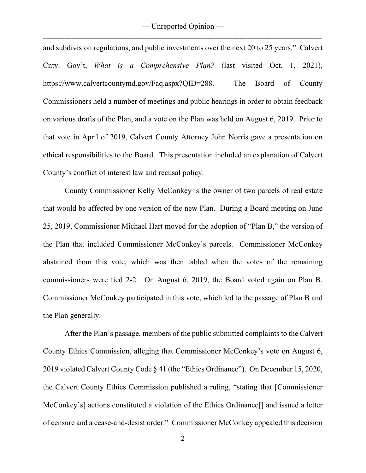and subdivision regulations, and public investments over the next 20 to 25 years." Calvert Cnty. Gov't, *What is a Comprehensive Plan?* (last visited Oct. 1, 2021), https://www.calvertcountymd.gov/Faq.aspx?QID=288. The Board of County Commissioners held a number of meetings and public hearings in order to obtain feedback on various drafts of the Plan, and a vote on the Plan was held on August 6, 2019. Prior to that vote in April of 2019, Calvert County Attorney John Norris gave a presentation on ethical responsibilities to the Board. This presentation included an explanation of Calvert County's conflict of interest law and recusal policy.

County Commissioner Kelly McConkey is the owner of two parcels of real estate that would be affected by one version of the new Plan. During a Board meeting on June 25, 2019, Commissioner Michael Hart moved for the adoption of "Plan B," the version of the Plan that included Commissioner McConkey's parcels. Commissioner McConkey abstained from this vote, which was then tabled when the votes of the remaining commissioners were tied 2-2. On August 6, 2019, the Board voted again on Plan B. Commissioner McConkey participated in this vote, which led to the passage of Plan B and the Plan generally.

After the Plan's passage, members of the public submitted complaints to the Calvert County Ethics Commission, alleging that Commissioner McConkey's vote on August 6, 2019 violated Calvert County Code § 41 (the "Ethics Ordinance"). On December 15, 2020, the Calvert County Ethics Commission published a ruling, "stating that [Commissioner McConkey's] actions constituted a violation of the Ethics Ordinance<sup>[]</sup> and issued a letter of censure and a cease-and-desist order." Commissioner McConkey appealed this decision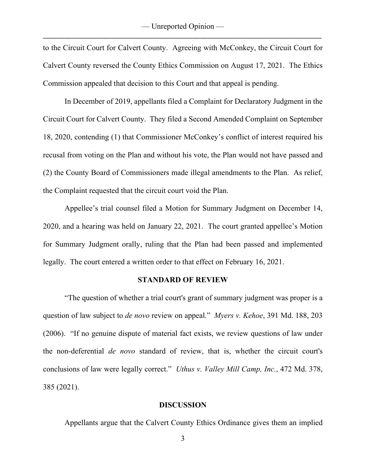to the Circuit Court for Calvert County. Agreeing with McConkey, the Circuit Court for Calvert County reversed the County Ethics Commission on August 17, 2021. The Ethics Commission appealed that decision to this Court and that appeal is pending.

In December of 2019, appellants filed a Complaint for Declaratory Judgment in the Circuit Court for Calvert County. They filed a Second Amended Complaint on September 18, 2020, contending (1) that Commissioner McConkey's conflict of interest required his recusal from voting on the Plan and without his vote, the Plan would not have passed and (2) the County Board of Commissioners made illegal amendments to the Plan. As relief, the Complaint requested that the circuit court void the Plan.

Appellee's trial counsel filed a Motion for Summary Judgment on December 14, 2020, and a hearing was held on January 22, 2021. The court granted appellee's Motion for Summary Judgment orally, ruling that the Plan had been passed and implemented legally. The court entered a written order to that effect on February 16, 2021.

#### **STANDARD OF REVIEW**

"The question of whether a trial court's grant of summary judgment was proper is a question of law subject to *de novo* review on appeal." *Myers v. Kehoe*, 391 Md. 188, 203 (2006). "If no genuine dispute of material fact exists, we review questions of law under the non-deferential *de novo* standard of review, that is, whether the circuit court's conclusions of law were legally correct." *Uthus v. Valley Mill Camp, Inc.*, 472 Md. 378, 385 (2021).

#### **DISCUSSION**

Appellants argue that the Calvert County Ethics Ordinance gives them an implied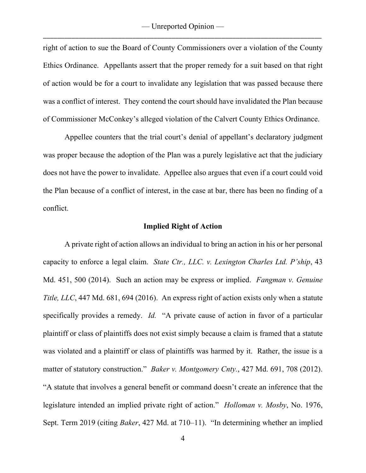right of action to sue the Board of County Commissioners over a violation of the County Ethics Ordinance. Appellants assert that the proper remedy for a suit based on that right of action would be for a court to invalidate any legislation that was passed because there was a conflict of interest. They contend the court should have invalidated the Plan because of Commissioner McConkey's alleged violation of the Calvert County Ethics Ordinance.

Appellee counters that the trial court's denial of appellant's declaratory judgment was proper because the adoption of the Plan was a purely legislative act that the judiciary does not have the power to invalidate. Appellee also argues that even if a court could void the Plan because of a conflict of interest, in the case at bar, there has been no finding of a conflict.

### **Implied Right of Action**

A private right of action allows an individual to bring an action in his or her personal capacity to enforce a legal claim. *State Ctr., LLC. v. Lexington Charles Ltd. P'ship*, 43 Md. 451, 500 (2014). Such an action may be express or implied. *Fangman v. Genuine Title, LLC*, 447 Md. 681, 694 (2016). An express right of action exists only when a statute specifically provides a remedy. *Id.* "A private cause of action in favor of a particular plaintiff or class of plaintiffs does not exist simply because a claim is framed that a statute was violated and a plaintiff or class of plaintiffs was harmed by it. Rather, the issue is a matter of statutory construction." *Baker v. Montgomery Cnty.*, 427 Md. 691, 708 (2012). "A statute that involves a general benefit or command doesn't create an inference that the legislature intended an implied private right of action." *Holloman v. Mosby*, No. 1976, Sept. Term 2019 (citing *Baker*, 427 Md. at 710–11). "In determining whether an implied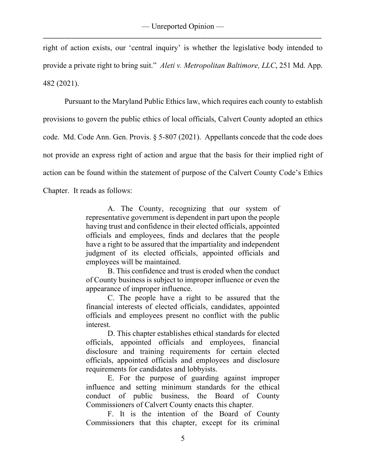right of action exists, our 'central inquiry' is whether the legislative body intended to provide a private right to bring suit." *Aleti v. Metropolitan Baltimore, LLC*, 251 Md. App. 482 (2021).

Pursuant to the Maryland Public Ethics law, which requires each county to establish provisions to govern the public ethics of local officials, Calvert County adopted an ethics code. Md. Code Ann. Gen. Provis. § 5-807 (2021). Appellants concede that the code does not provide an express right of action and argue that the basis for their implied right of action can be found within the statement of purpose of the Calvert County Code's Ethics

Chapter. It reads as follows:

A. The County, recognizing that our system of representative government is dependent in part upon the people having trust and confidence in their elected officials, appointed officials and employees, finds and declares that the people have a right to be assured that the impartiality and independent judgment of its elected officials, appointed officials and employees will be maintained.

B. This confidence and trust is eroded when the conduct of County business is subject to improper influence or even the appearance of improper influence.

C. The people have a right to be assured that the financial interests of elected officials, candidates, appointed officials and employees present no conflict with the public interest.

D. This chapter establishes ethical standards for elected officials, appointed officials and employees, financial disclosure and training requirements for certain elected officials, appointed officials and employees and disclosure requirements for candidates and lobbyists.

E. For the purpose of guarding against improper influence and setting minimum standards for the ethical conduct of public business, the Board of County Commissioners of Calvert County enacts this chapter.

F. It is the intention of the Board of County Commissioners that this chapter, except for its criminal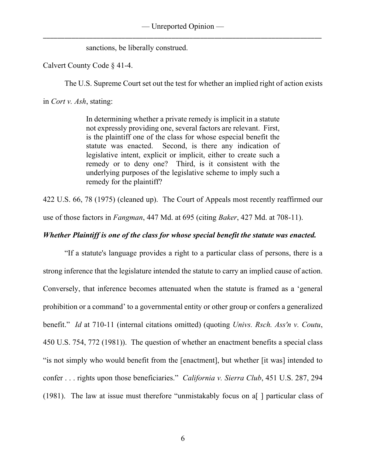sanctions, be liberally construed.

Calvert County Code § 41-4.

The U.S. Supreme Court set out the test for whether an implied right of action exists

in *Cort v. Ash*, stating:

In determining whether a private remedy is implicit in a statute not expressly providing one, several factors are relevant. First, is the plaintiff one of the class for whose especial benefit the statute was enacted. Second, is there any indication of legislative intent, explicit or implicit, either to create such a remedy or to deny one? Third, is it consistent with the underlying purposes of the legislative scheme to imply such a remedy for the plaintiff?

422 U.S. 66, 78 (1975) (cleaned up). The Court of Appeals most recently reaffirmed our

use of those factors in *Fangman*, 447 Md. at 695 (citing *Baker*, 427 Md. at 708-11).

# *Whether Plaintiff is one of the class for whose special benefit the statute was enacted.*

"If a statute's language provides a right to a particular class of persons, there is a strong inference that the legislature intended the statute to carry an implied cause of action. Conversely, that inference becomes attenuated when the statute is framed as a 'general prohibition or a command' to a governmental entity or other group or confers a generalized benefit." *Id* at 710-11 (internal citations omitted) (quoting *Univs. Rsch. Ass'n v. Coutu*, 450 U.S. 754, 772 (1981)). The question of whether an enactment benefits a special class "is not simply who would benefit from the [enactment], but whether [it was] intended to confer . . . rights upon those beneficiaries." *California v. Sierra Club*, 451 U.S. 287, 294 (1981). The law at issue must therefore "unmistakably focus on a[ ] particular class of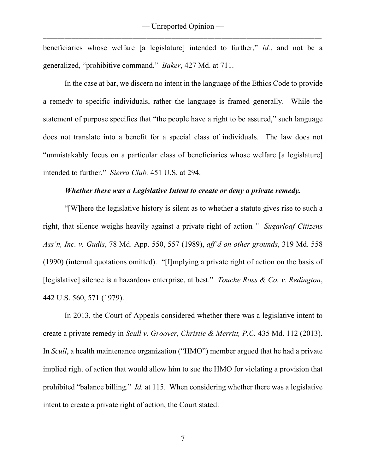beneficiaries whose welfare [a legislature] intended to further," *id.*, and not be a generalized, "prohibitive command." *Baker*, 427 Md. at 711.

In the case at bar, we discern no intent in the language of the Ethics Code to provide a remedy to specific individuals, rather the language is framed generally. While the statement of purpose specifies that "the people have a right to be assured," such language does not translate into a benefit for a special class of individuals. The law does not "unmistakably focus on a particular class of beneficiaries whose welfare [a legislature] intended to further." *Sierra Club,* 451 U.S. at 294.

### *Whether there was a Legislative Intent to create or deny a private remedy.*

"[W]here the legislative history is silent as to whether a statute gives rise to such a right, that silence weighs heavily against a private right of action*." Sugarloaf Citizens Ass'n, Inc. v. Gudis*, 78 Md. App. 550, 557 (1989), *aff'd on other grounds*, 319 Md. 558 (1990) (internal quotations omitted). "[I]mplying a private right of action on the basis of [legislative] silence is a hazardous enterprise, at best." *Touche Ross & Co. v. Redington*, 442 U.S. 560, 571 (1979).

In 2013, the Court of Appeals considered whether there was a legislative intent to create a private remedy in *Scull v. Groover, Christie & Merritt, P.C.* 435 Md. 112 (2013). In *Scull*, a health maintenance organization ("HMO") member argued that he had a private implied right of action that would allow him to sue the HMO for violating a provision that prohibited "balance billing." *Id.* at 115. When considering whether there was a legislative intent to create a private right of action, the Court stated: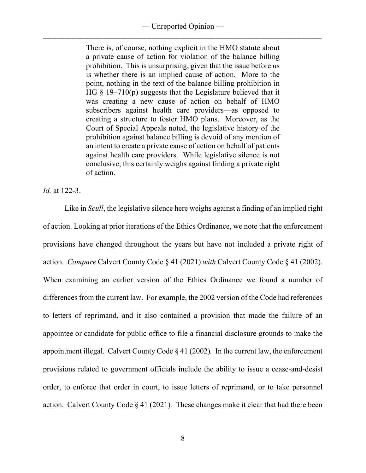### — Unreported Opinion — \_\_\_\_\_\_\_\_\_\_\_\_\_\_\_\_\_\_\_\_\_\_\_\_\_\_\_\_\_\_\_\_\_\_\_\_\_\_\_\_\_\_\_\_\_\_\_\_\_\_\_\_\_\_\_\_\_\_\_\_\_\_\_\_\_\_\_\_\_\_\_\_\_\_\_\_\_\_

There is, of course, nothing explicit in the HMO statute about a private cause of action for violation of the balance billing prohibition. This is unsurprising, given that the issue before us is whether there is an implied cause of action. More to the point, nothing in the text of the balance billing prohibition in HG  $\S$  19–710(p) suggests that the Legislature believed that it was creating a new cause of action on behalf of HMO subscribers against health care providers—as opposed to creating a structure to foster HMO plans. Moreover, as the Court of Special Appeals noted, the legislative history of the prohibition against balance billing is devoid of any mention of an intent to create a private cause of action on behalf of patients against health care providers. While legislative silence is not conclusive, this certainly weighs against finding a private right of action.

*Id.* at 122-3.

Like in *Scull*, the legislative silence here weighs against a finding of an implied right of action. Looking at prior iterations of the Ethics Ordinance, we note that the enforcement provisions have changed throughout the years but have not included a private right of action. *Compare* Calvert County Code § 41 (2021) *with* Calvert County Code § 41 (2002). When examining an earlier version of the Ethics Ordinance we found a number of differences from the current law. For example, the 2002 version of the Code had references to letters of reprimand, and it also contained a provision that made the failure of an appointee or candidate for public office to file a financial disclosure grounds to make the appointment illegal. Calvert County Code § 41 (2002)*.* In the current law, the enforcement provisions related to government officials include the ability to issue a cease-and-desist order, to enforce that order in court, to issue letters of reprimand, or to take personnel action. Calvert County Code § 41 (2021)*.* These changes make it clear that had there been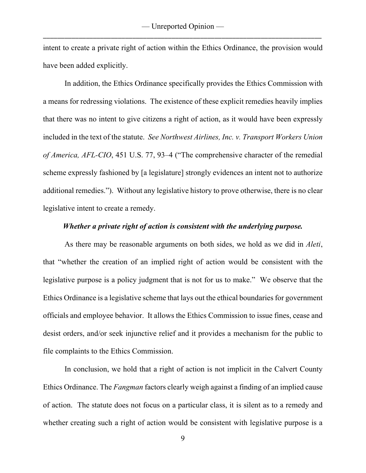intent to create a private right of action within the Ethics Ordinance, the provision would have been added explicitly.

In addition, the Ethics Ordinance specifically provides the Ethics Commission with a means for redressing violations. The existence of these explicit remedies heavily implies that there was no intent to give citizens a right of action, as it would have been expressly included in the text of the statute. *See Northwest Airlines, Inc. v. Transport Workers Union of America, AFL-CIO*, 451 U.S. 77, 93–4 ("The comprehensive character of the remedial scheme expressly fashioned by [a legislature] strongly evidences an intent not to authorize additional remedies."). Without any legislative history to prove otherwise, there is no clear legislative intent to create a remedy.

### *Whether a private right of action is consistent with the underlying purpose.*

As there may be reasonable arguments on both sides, we hold as we did in *Aleti*, that "whether the creation of an implied right of action would be consistent with the legislative purpose is a policy judgment that is not for us to make." We observe that the Ethics Ordinance is a legislative scheme that lays out the ethical boundaries for government officials and employee behavior. It allows the Ethics Commission to issue fines, cease and desist orders, and/or seek injunctive relief and it provides a mechanism for the public to file complaints to the Ethics Commission.

In conclusion, we hold that a right of action is not implicit in the Calvert County Ethics Ordinance. The *Fangman* factors clearly weigh against a finding of an implied cause of action. The statute does not focus on a particular class, it is silent as to a remedy and whether creating such a right of action would be consistent with legislative purpose is a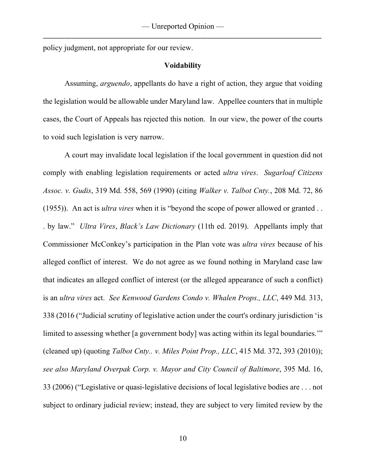policy judgment, not appropriate for our review.

### **Voidability**

Assuming, *arguendo*, appellants do have a right of action, they argue that voiding the legislation would be allowable under Maryland law. Appellee counters that in multiple cases, the Court of Appeals has rejected this notion. In our view, the power of the courts to void such legislation is very narrow.

A court may invalidate local legislation if the local government in question did not comply with enabling legislation requirements or acted *ultra vires*. *Sugarloaf Citizens Assoc. v. Gudis*, 319 Md. 558, 569 (1990) (citing *Walker v. Talbot Cnty.*, 208 Md. 72, 86 (1955)). An act is *ultra vires* when it is "beyond the scope of power allowed or granted . . . by law." *Ultra Vires*, *Black's Law Dictionary* (11th ed. 2019). Appellants imply that Commissioner McConkey's participation in the Plan vote was *ultra vires* because of his alleged conflict of interest. We do not agree as we found nothing in Maryland case law that indicates an alleged conflict of interest (or the alleged appearance of such a conflict) is an *ultra vires* act. *See Kenwood Gardens Condo v. Whalen Props., LLC*, 449 Md. 313, 338 (2016 ("Judicial scrutiny of legislative action under the court's ordinary jurisdiction 'is limited to assessing whether [a government body] was acting within its legal boundaries." (cleaned up) (quoting *Talbot Cnty.. v. Miles Point Prop., LLC*, 415 Md. 372, 393 (2010)); *see also Maryland Overpak Corp. v. Mayor and City Council of Baltimore*, 395 Md. 16, 33 (2006) ("Legislative or quasi-legislative decisions of local legislative bodies are . . . not subject to ordinary judicial review; instead, they are subject to very limited review by the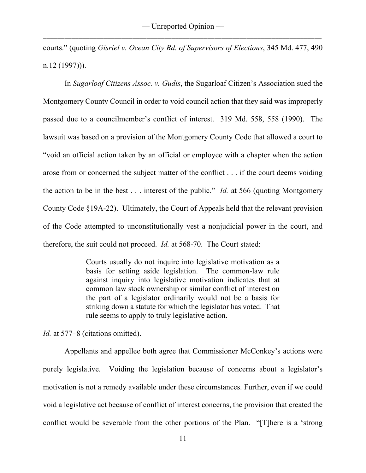courts." (quoting *Gisriel v. Ocean City Bd. of Supervisors of Elections*, 345 Md. 477, 490 n.12 (1997))).

In *Sugarloaf Citizens Assoc. v. Gudis*, the Sugarloaf Citizen's Association sued the Montgomery County Council in order to void council action that they said was improperly passed due to a councilmember's conflict of interest. 319 Md. 558, 558 (1990). The lawsuit was based on a provision of the Montgomery County Code that allowed a court to "void an official action taken by an official or employee with a chapter when the action arose from or concerned the subject matter of the conflict . . . if the court deems voiding the action to be in the best . . . interest of the public." *Id.* at 566 (quoting Montgomery County Code §19A-22). Ultimately, the Court of Appeals held that the relevant provision of the Code attempted to unconstitutionally vest a nonjudicial power in the court, and therefore, the suit could not proceed. *Id.* at 568-70. The Court stated:

> Courts usually do not inquire into legislative motivation as a basis for setting aside legislation. The common-law rule against inquiry into legislative motivation indicates that at common law stock ownership or similar conflict of interest on the part of a legislator ordinarily would not be a basis for striking down a statute for which the legislator has voted. That rule seems to apply to truly legislative action.

*Id.* at 577–8 (citations omitted).

Appellants and appellee both agree that Commissioner McConkey's actions were purely legislative. Voiding the legislation because of concerns about a legislator's motivation is not a remedy available under these circumstances. Further, even if we could void a legislative act because of conflict of interest concerns, the provision that created the conflict would be severable from the other portions of the Plan. "[T]here is a 'strong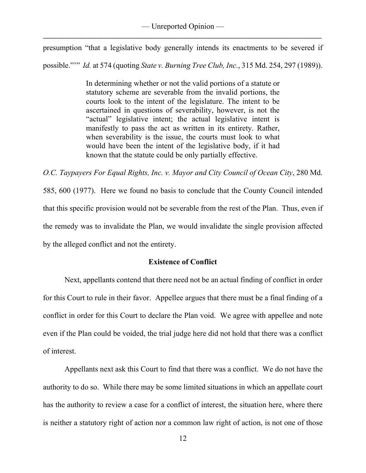presumption "that a legislative body generally intends its enactments to be severed if possible."'" *Id.* at 574 (quoting *State v. Burning Tree Club, Inc.*, 315 Md. 254, 297 (1989)).

> In determining whether or not the valid portions of a statute or statutory scheme are severable from the invalid portions, the courts look to the intent of the legislature. The intent to be ascertained in questions of severability, however, is not the "actual" legislative intent; the actual legislative intent is manifestly to pass the act as written in its entirety. Rather, when severability is the issue, the courts must look to what would have been the intent of the legislative body, if it had known that the statute could be only partially effective.

*O.C. Taypayers For Equal Rights, Inc. v. Mayor and City Council of Ocean City*, 280 Md. 585, 600 (1977). Here we found no basis to conclude that the County Council intended that this specific provision would not be severable from the rest of the Plan. Thus, even if the remedy was to invalidate the Plan, we would invalidate the single provision affected by the alleged conflict and not the entirety.

# **Existence of Conflict**

Next, appellants contend that there need not be an actual finding of conflict in order for this Court to rule in their favor. Appellee argues that there must be a final finding of a conflict in order for this Court to declare the Plan void. We agree with appellee and note even if the Plan could be voided, the trial judge here did not hold that there was a conflict of interest.

Appellants next ask this Court to find that there was a conflict. We do not have the authority to do so. While there may be some limited situations in which an appellate court has the authority to review a case for a conflict of interest, the situation here, where there is neither a statutory right of action nor a common law right of action, is not one of those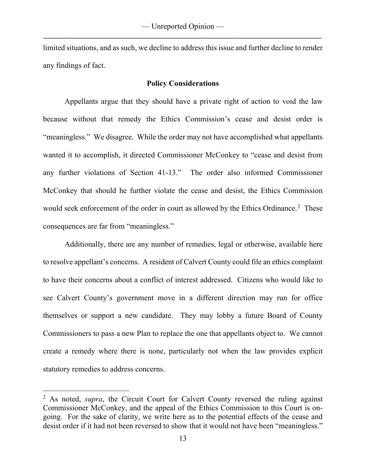limited situations, and as such, we decline to address this issue and further decline to render any findings of fact.

### **Policy Considerations**

Appellants argue that they should have a private right of action to void the law because without that remedy the Ethics Commission's cease and desist order is "meaningless." We disagree. While the order may not have accomplished what appellants wanted it to accomplish, it directed Commissioner McConkey to "cease and desist from any further violations of Section 41-13." The order also informed Commissioner McConkey that should he further violate the cease and desist, the Ethics Commission would seek enforcement of the order in court as allowed by the Ethics Ordinance.<sup>[2](#page-13-0)</sup> These consequences are far from "meaningless."

Additionally, there are any number of remedies, legal or otherwise, available here to resolve appellant's concerns. A resident of Calvert County could file an ethics complaint to have their concerns about a conflict of interest addressed. Citizens who would like to see Calvert County's government move in a different direction may run for office themselves or support a new candidate. They may lobby a future Board of County Commissioners to pass a new Plan to replace the one that appellants object to. We cannot create a remedy where there is none, particularly not when the law provides explicit statutory remedies to address concerns.

<span id="page-13-0"></span><sup>&</sup>lt;sup>2</sup> As noted, *supra*, the Circuit Court for Calvert County reversed the ruling against Commissioner McConkey, and the appeal of the Ethics Commission to this Court is ongoing. For the sake of clarity, we write here as to the potential effects of the cease and desist order if it had not been reversed to show that it would not have been "meaningless."